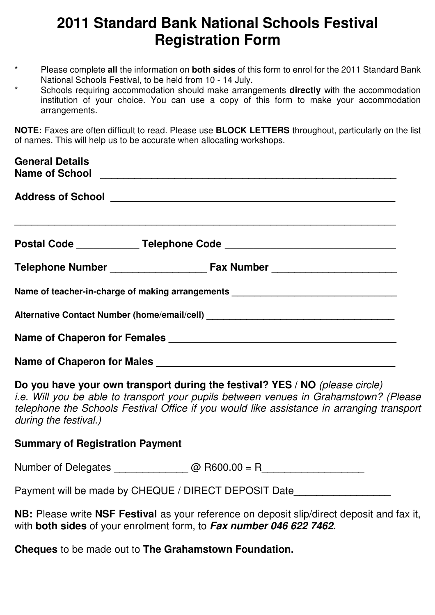# **2011 Standard Bank National Schools Festival Registration Form**

- \* Please complete **all** the information on **both sides** of this form to enrol for the 2011 Standard Bank National Schools Festival, to be held from 10 - 14 July.
- Schools requiring accommodation should make arrangements **directly** with the accommodation institution of your choice. You can use a copy of this form to make your accommodation arrangements.

**NOTE:** Faxes are often difficult to read. Please use **BLOCK LETTERS** throughout, particularly on the list of names. This will help us to be accurate when allocating workshops.

| <b>General Details</b><br>Name of School <u>Name of School</u> |                                                                                  |  |  |  |  |  |
|----------------------------------------------------------------|----------------------------------------------------------------------------------|--|--|--|--|--|
|                                                                |                                                                                  |  |  |  |  |  |
|                                                                | 一个人的人,我们也不能在这里的人,我们也不能在这里的人,我们也不能在这里的人,我们也不能在这里的人,我们也不能在这里的人,我们也不能在这里的人,我们也不能在这里 |  |  |  |  |  |
|                                                                |                                                                                  |  |  |  |  |  |
|                                                                | Name of teacher-in-charge of making arrangements _______________________________ |  |  |  |  |  |
|                                                                |                                                                                  |  |  |  |  |  |
|                                                                |                                                                                  |  |  |  |  |  |
|                                                                | Name of Chaperon for Males                                                       |  |  |  |  |  |

**Do you have your own transport during the festival? YES / NO** (please circle) i.e. Will you be able to transport your pupils between venues in Grahamstown? (Please telephone the Schools Festival Office if you would like assistance in arranging transport during the festival.)

#### **Summary of Registration Payment**

Number of Delegates \_\_\_\_\_\_\_\_\_\_\_\_\_ @ R600.00 = R\_\_\_\_\_\_\_\_\_\_\_\_\_\_\_\_\_\_

Payment will be made by CHEQUE / DIRECT DEPOSIT Date

**NB:** Please write **NSF Festival** as your reference on deposit slip/direct deposit and fax it, with **both sides** of your enrolment form, to *Fax number 046 622 7462.* 

**Cheques** to be made out to **The Grahamstown Foundation.**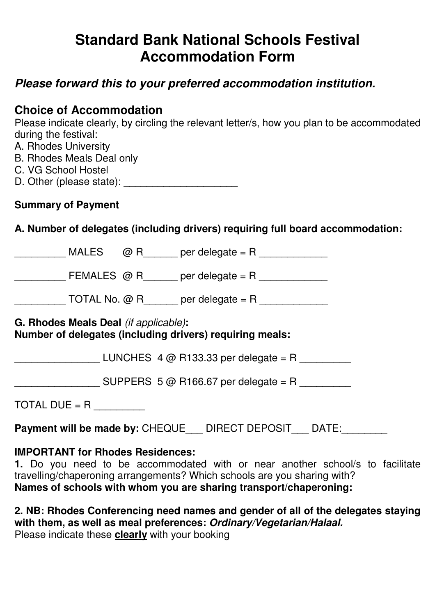# **Standard Bank National Schools Festival Accommodation Form**

# *Please forward this to your preferred accommodation institution.*

## **Choice of Accommodation**

Please indicate clearly, by circling the relevant letter/s, how you plan to be accommodated during the festival:

- A. Rhodes University
- B. Rhodes Meals Deal only
- C. VG School Hostel
- D. Other (please state): \_\_\_\_\_\_\_\_\_\_\_\_\_\_\_\_\_\_\_\_

### **Summary of Payment**

## **A. Number of delegates (including drivers) requiring full board accommodation:**

|                                                                                                   |  |  | MALES $\oslash$ R per delegate = R                   |  |  |  |
|---------------------------------------------------------------------------------------------------|--|--|------------------------------------------------------|--|--|--|
|                                                                                                   |  |  | FEMALES $\omega$ R per delegate = R                  |  |  |  |
|                                                                                                   |  |  | TOTAL No. $@R$ per delegate = R                      |  |  |  |
| G. Rhodes Meals Deal (if applicable):<br>Number of delegates (including drivers) requiring meals: |  |  |                                                      |  |  |  |
|                                                                                                   |  |  | LUNCHES $4 \textcircled{a}$ R133.33 per delegate = R |  |  |  |
|                                                                                                   |  |  | SUPPERS $5@$ R166.67 per delegate = R                |  |  |  |
| TOTAL DUE = R                                                                                     |  |  |                                                      |  |  |  |

**Payment will be made by: CHEQUE LET DIRECT DEPOSIT LET DATE:** 

### **IMPORTANT for Rhodes Residences:**

**1.** Do you need to be accommodated with or near another school/s to facilitate travelling/chaperoning arrangements? Which schools are you sharing with? **Names of schools with whom you are sharing transport/chaperoning:** 

**2. NB: Rhodes Conferencing need names and gender of all of the delegates staying with them, as well as meal preferences:** *Ordinary/Vegetarian/Halaal.*  Please indicate these **clearly** with your booking